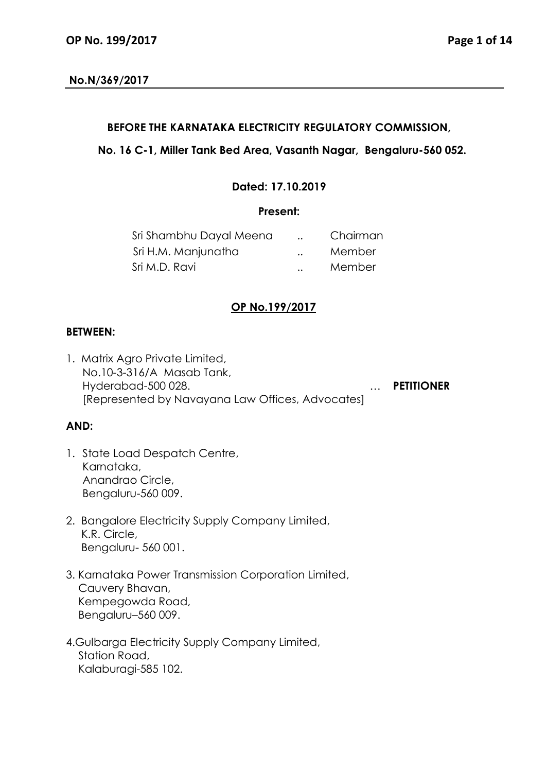## **No.N/369/2017**

### **BEFORE THE KARNATAKA ELECTRICITY REGULATORY COMMISSION,**

## **No. 16 C-1, Miller Tank Bed Area, Vasanth Nagar, Bengaluru-560 052.**

## **Dated: 17.10.2019**

### **Present:**

| Sri Shambhu Dayal Meena |                      | Chairman |
|-------------------------|----------------------|----------|
| Sri H.M. Manjunatha     | $\ddot{\phantom{a}}$ | Member   |
| Sri M.D. Ravi           | $\ddotsc$            | Member   |

# **OP No.199/2017**

### **BETWEEN:**

1. Matrix Agro Private Limited, No.10-3-316/A Masab Tank, Hyderabad-500 028. … **PETITIONER** [Represented by Navayana Law Offices, Advocates]

### **AND:**

- 1. State Load Despatch Centre, Karnataka, Anandrao Circle, Bengaluru-560 009.
- 2. Bangalore Electricity Supply Company Limited, K.R. Circle, Bengaluru- 560 001.
- 3. Karnataka Power Transmission Corporation Limited, Cauvery Bhavan, Kempegowda Road, Bengaluru–560 009.
- 4.Gulbarga Electricity Supply Company Limited, Station Road, Kalaburagi-585 102.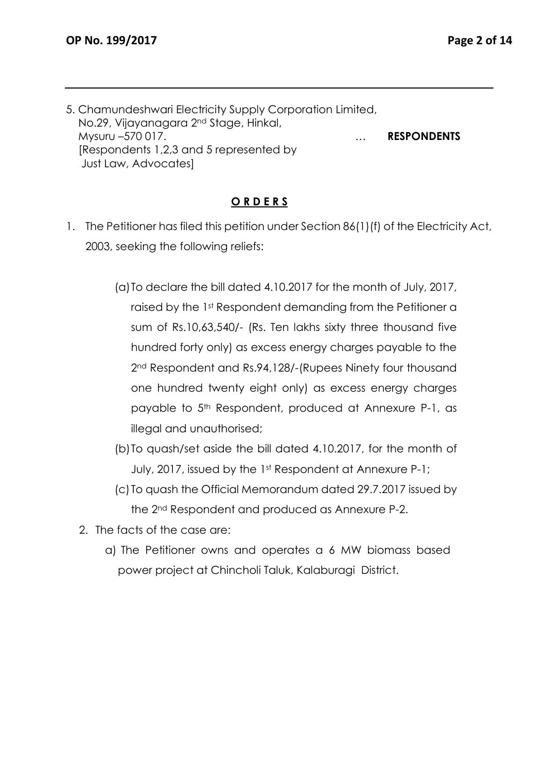5. Chamundeshwari Electricity Supply Corporation Limited, No.29, Vijayanagara 2nd Stage, Hinkal, Mysuru –570 017. … **RESPONDENTS** [Respondents 1,2,3 and 5 represented by Just Law, Advocates]

### **O R D E R S**

- 1. The Petitioner has filed this petition under Section 86(1)(f) of the Electricity Act, 2003, seeking the following reliefs:
	- (a)To declare the bill dated 4.10.2017 for the month of July, 2017, raised by the 1st Respondent demanding from the Petitioner a sum of Rs.10,63,540/- (Rs. Ten lakhs sixty three thousand five hundred forty only) as excess energy charges payable to the 2<sup>nd</sup> Respondent and Rs.94,128/-(Rupees Ninety four thousand one hundred twenty eight only) as excess energy charges payable to 5th Respondent, produced at Annexure P-1, as illegal and unauthorised;
	- (b)To quash/set aside the bill dated 4.10.2017, for the month of July, 2017, issued by the 1st Respondent at Annexure P-1;
	- (c) To quash the Official Memorandum dated 29.7.2017 issued by the 2nd Respondent and produced as Annexure P-2.
	- 2. The facts of the case are:
		- a) The Petitioner owns and operates a 6 MW biomass based power project at Chincholi Taluk, Kalaburagi District.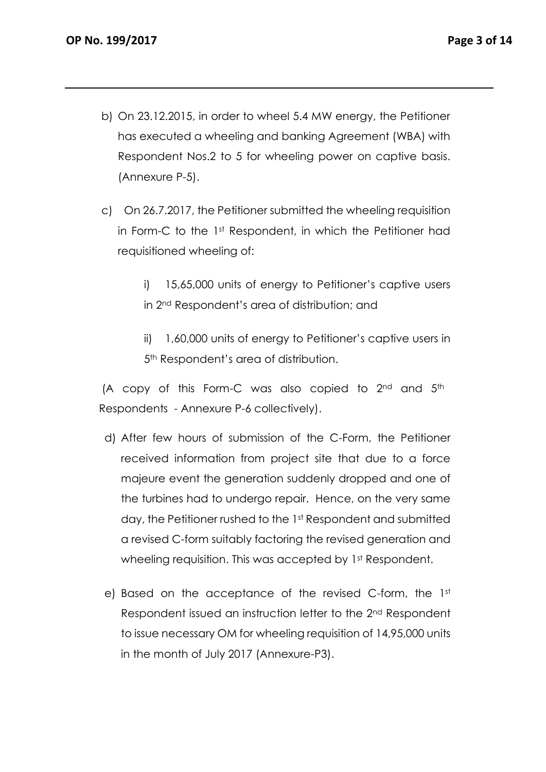- b) On 23.12.2015, in order to wheel 5.4 MW energy, the Petitioner has executed a wheeling and banking Agreement (WBA) with Respondent Nos.2 to 5 for wheeling power on captive basis. (Annexure P-5).
- c) On 26.7.2017, the Petitioner submitted the wheeling requisition in Form-C to the 1st Respondent, in which the Petitioner had requisitioned wheeling of:

i) 15,65,000 units of energy to Petitioner's captive users in 2nd Respondent's area of distribution; and

ii) 1,60,000 units of energy to Petitioner's captive users in 5<sup>th</sup> Respondent's area of distribution.

(A copy of this Form-C was also copied to  $2^{nd}$  and  $5^{th}$ Respondents - Annexure P-6 collectively).

- d) After few hours of submission of the C-Form, the Petitioner received information from project site that due to a force majeure event the generation suddenly dropped and one of the turbines had to undergo repair. Hence, on the very same day, the Petitioner rushed to the 1st Respondent and submitted a revised C-form suitably factoring the revised generation and wheeling requisition. This was accepted by 1st Respondent.
- e) Based on the acceptance of the revised C-form, the 1st Respondent issued an instruction letter to the 2nd Respondent to issue necessary OM for wheeling requisition of 14,95,000 units in the month of July 2017 (Annexure-P3).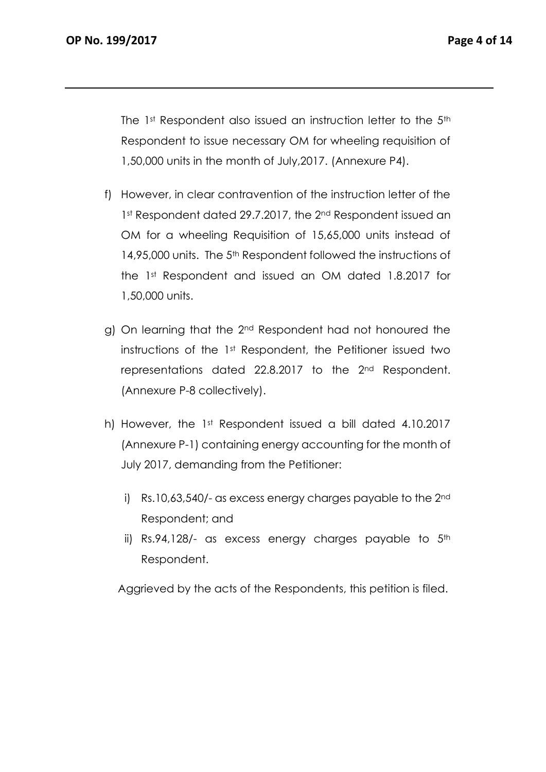The 1st Respondent also issued an instruction letter to the 5<sup>th</sup> Respondent to issue necessary OM for wheeling requisition of 1,50,000 units in the month of July,2017. (Annexure P4).

- f) However, in clear contravention of the instruction letter of the 1st Respondent dated 29.7.2017, the 2<sup>nd</sup> Respondent issued an OM for a wheeling Requisition of 15,65,000 units instead of 14,95,000 units. The 5<sup>th</sup> Respondent followed the instructions of the 1st Respondent and issued an OM dated 1.8.2017 for 1,50,000 units.
- g) On learning that the 2<sup>nd</sup> Respondent had not honoured the instructions of the 1st Respondent, the Petitioner issued two representations dated 22.8.2017 to the 2nd Respondent. (Annexure P-8 collectively).
- h) However, the 1st Respondent issued a bill dated 4.10.2017 (Annexure P-1) containing energy accounting for the month of July 2017, demanding from the Petitioner:
	- i) Rs.10,63,540/- as excess energy charges payable to the 2nd Respondent; and
	- ii) Rs.94,128/- as excess energy charges payable to  $5<sup>th</sup>$ Respondent.

Aggrieved by the acts of the Respondents, this petition is filed.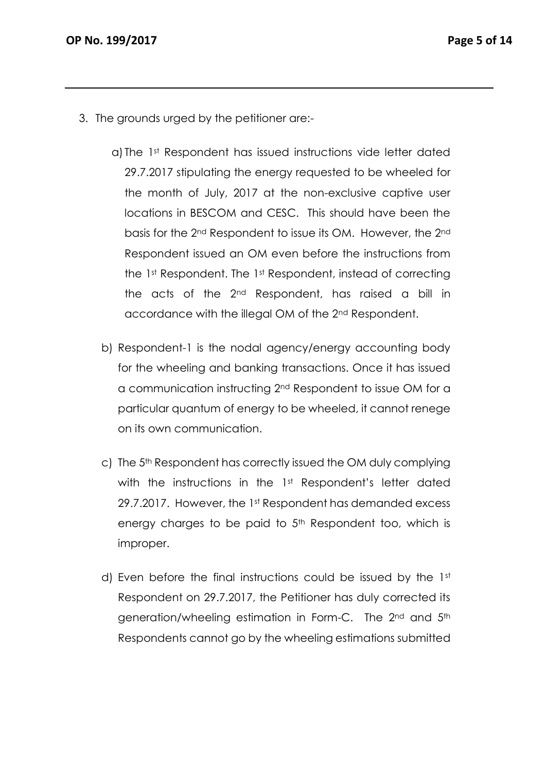- 3. The grounds urged by the petitioner are:
	- a) The 1st Respondent has issued instructions vide letter dated 29.7.2017 stipulating the energy requested to be wheeled for the month of July, 2017 at the non-exclusive captive user locations in BESCOM and CESC. This should have been the basis for the 2nd Respondent to issue its OM. However, the 2nd Respondent issued an OM even before the instructions from the 1st Respondent. The 1st Respondent, instead of correcting the acts of the 2nd Respondent, has raised a bill in accordance with the illegal OM of the 2nd Respondent.
	- b) Respondent-1 is the nodal agency/energy accounting body for the wheeling and banking transactions. Once it has issued a communication instructing 2nd Respondent to issue OM for a particular quantum of energy to be wheeled, it cannot renege on its own communication.
	- c) The 5<sup>th</sup> Respondent has correctly issued the OM duly complying with the instructions in the 1<sup>st</sup> Respondent's letter dated 29.7.2017. However, the 1st Respondent has demanded excess energy charges to be paid to 5<sup>th</sup> Respondent too, which is improper.
	- d) Even before the final instructions could be issued by the 1st Respondent on 29.7.2017, the Petitioner has duly corrected its generation/wheeling estimation in Form-C. The 2<sup>nd</sup> and 5<sup>th</sup> Respondents cannot go by the wheeling estimations submitted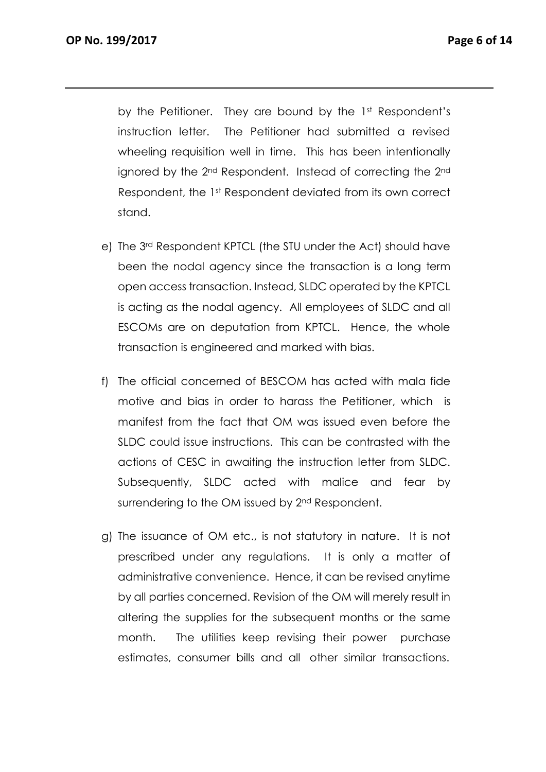by the Petitioner. They are bound by the 1st Respondent's instruction letter. The Petitioner had submitted a revised wheeling requisition well in time. This has been intentionally ignored by the 2<sup>nd</sup> Respondent. Instead of correcting the 2<sup>nd</sup> Respondent, the 1st Respondent deviated from its own correct stand.

- e) The 3rd Respondent KPTCL (the STU under the Act) should have been the nodal agency since the transaction is a long term open access transaction. Instead, SLDC operated by the KPTCL is acting as the nodal agency. All employees of SLDC and all ESCOMs are on deputation from KPTCL. Hence, the whole transaction is engineered and marked with bias.
- f) The official concerned of BESCOM has acted with mala fide motive and bias in order to harass the Petitioner, which is manifest from the fact that OM was issued even before the SLDC could issue instructions. This can be contrasted with the actions of CESC in awaiting the instruction letter from SLDC. Subsequently, SLDC acted with malice and fear by surrendering to the OM issued by 2<sup>nd</sup> Respondent.
- g) The issuance of OM etc., is not statutory in nature. It is not prescribed under any regulations. It is only a matter of administrative convenience. Hence, it can be revised anytime by all parties concerned. Revision of the OM will merely result in altering the supplies for the subsequent months or the same month. The utilities keep revising their power purchase estimates, consumer bills and all other similar transactions.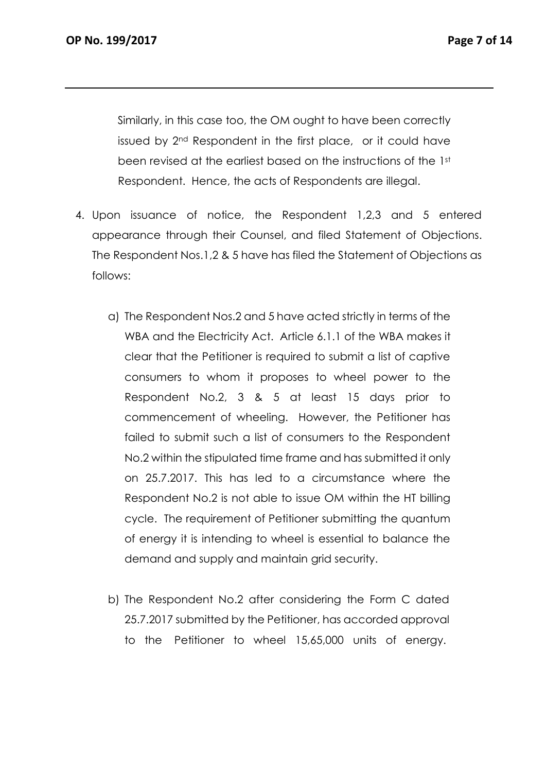Similarly, in this case too, the OM ought to have been correctly issued by 2nd Respondent in the first place, or it could have been revised at the earliest based on the instructions of the 1st Respondent. Hence, the acts of Respondents are illegal.

- 4. Upon issuance of notice, the Respondent 1,2,3 and 5 entered appearance through their Counsel, and filed Statement of Objections. The Respondent Nos.1,2 & 5 have has filed the Statement of Objections as follows:
	- a) The Respondent Nos.2 and 5 have acted strictly in terms of the WBA and the Electricity Act. Article 6.1.1 of the WBA makes it clear that the Petitioner is required to submit a list of captive consumers to whom it proposes to wheel power to the Respondent No.2, 3 & 5 at least 15 days prior to commencement of wheeling. However, the Petitioner has failed to submit such a list of consumers to the Respondent No.2 within the stipulated time frame and has submitted it only on 25.7.2017. This has led to a circumstance where the Respondent No.2 is not able to issue OM within the HT billing cycle. The requirement of Petitioner submitting the quantum of energy it is intending to wheel is essential to balance the demand and supply and maintain grid security.
	- b) The Respondent No.2 after considering the Form C dated 25.7.2017 submitted by the Petitioner, has accorded approval to the Petitioner to wheel 15,65,000 units of energy.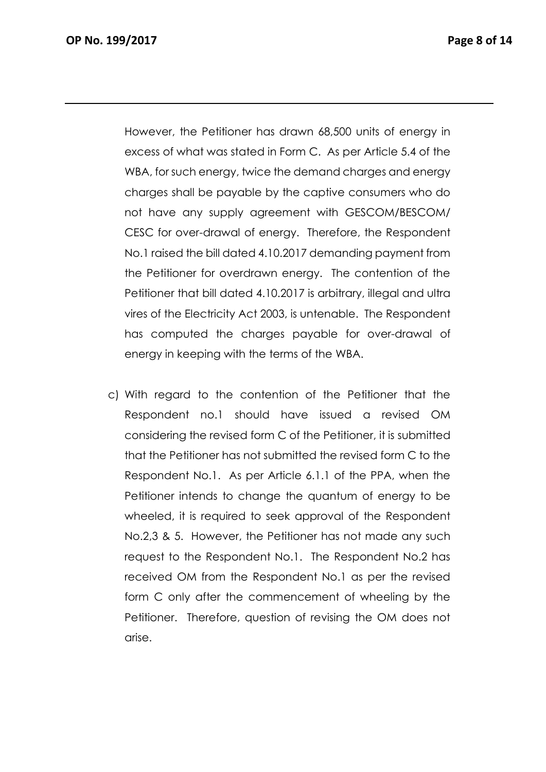However, the Petitioner has drawn 68,500 units of energy in excess of what was stated in Form C. As per Article 5.4 of the WBA, for such energy, twice the demand charges and energy charges shall be payable by the captive consumers who do not have any supply agreement with GESCOM/BESCOM/ CESC for over-drawal of energy. Therefore, the Respondent No.1 raised the bill dated 4.10.2017 demanding payment from the Petitioner for overdrawn energy. The contention of the Petitioner that bill dated 4.10.2017 is arbitrary, illegal and ultra vires of the Electricity Act 2003, is untenable. The Respondent has computed the charges payable for over-drawal of energy in keeping with the terms of the WBA.

c) With regard to the contention of the Petitioner that the Respondent no.1 should have issued a revised OM considering the revised form C of the Petitioner, it is submitted that the Petitioner has not submitted the revised form C to the Respondent No.1. As per Article 6.1.1 of the PPA, when the Petitioner intends to change the quantum of energy to be wheeled, it is required to seek approval of the Respondent No.2,3 & 5. However, the Petitioner has not made any such request to the Respondent No.1. The Respondent No.2 has received OM from the Respondent No.1 as per the revised form C only after the commencement of wheeling by the Petitioner. Therefore, question of revising the OM does not arise.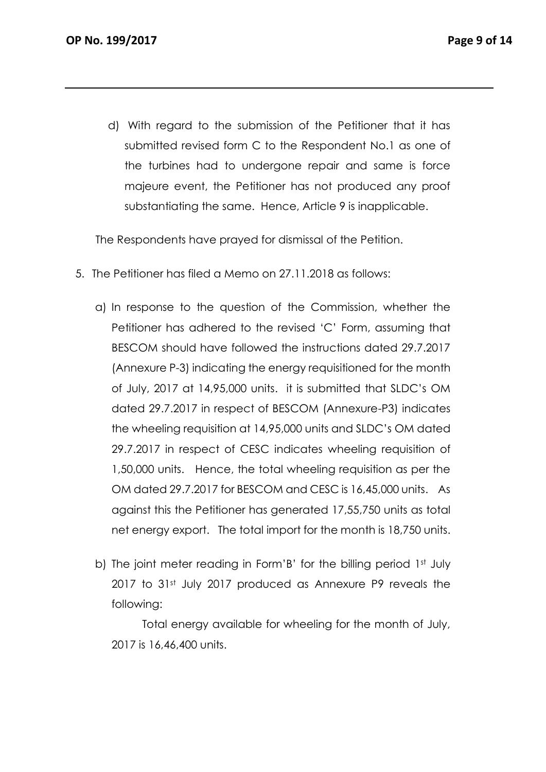d) With regard to the submission of the Petitioner that it has submitted revised form C to the Respondent No.1 as one of the turbines had to undergone repair and same is force majeure event, the Petitioner has not produced any proof substantiating the same. Hence, Article 9 is inapplicable.

The Respondents have prayed for dismissal of the Petition.

- 5. The Petitioner has filed a Memo on 27.11.2018 as follows:
	- a) In response to the question of the Commission, whether the Petitioner has adhered to the revised 'C' Form, assuming that BESCOM should have followed the instructions dated 29.7.2017 (Annexure P-3) indicating the energy requisitioned for the month of July, 2017 at 14,95,000 units. it is submitted that SLDC's OM dated 29.7.2017 in respect of BESCOM (Annexure-P3) indicates the wheeling requisition at 14,95,000 units and SLDC's OM dated 29.7.2017 in respect of CESC indicates wheeling requisition of 1,50,000 units. Hence, the total wheeling requisition as per the OM dated 29.7.2017 for BESCOM and CESC is 16,45,000 units. As against this the Petitioner has generated 17,55,750 units as total net energy export. The total import for the month is 18,750 units.
	- b) The joint meter reading in Form'B' for the billing period 1<sup>st</sup> July 2017 to 31st July 2017 produced as Annexure P9 reveals the following:

 Total energy available for wheeling for the month of July, 2017 is 16,46,400 units.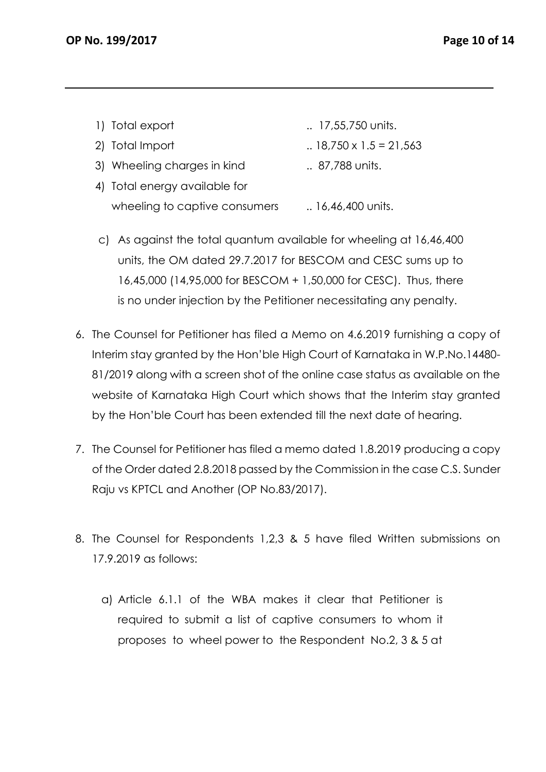- 1) Total export ... 17,55,750 units.
- 2) Total Import ... 18,750 x 1.5 = 21,563
- 3) Wheeling charges in kind ... 87,788 units.
- 4) Total energy available for wheeling to captive consumers ... 16,46,400 units.
- c) As against the total quantum available for wheeling at 16,46,400 units, the OM dated 29.7.2017 for BESCOM and CESC sums up to 16,45,000 (14,95,000 for BESCOM + 1,50,000 for CESC). Thus, there is no under injection by the Petitioner necessitating any penalty.
- 6. The Counsel for Petitioner has filed a Memo on 4.6.2019 furnishing a copy of Interim stay granted by the Hon'ble High Court of Karnataka in W.P.No.14480- 81/2019 along with a screen shot of the online case status as available on the website of Karnataka High Court which shows that the Interim stay granted by the Hon'ble Court has been extended till the next date of hearing.
- 7. The Counsel for Petitioner has filed a memo dated 1.8.2019 producing a copy of the Order dated 2.8.2018 passed by the Commission in the case C.S. Sunder Raju vs KPTCL and Another (OP No.83/2017).
- 8. The Counsel for Respondents 1,2,3 & 5 have filed Written submissions on 17.9.2019 as follows:
	- a) Article 6.1.1 of the WBA makes it clear that Petitioner is required to submit a list of captive consumers to whom it proposes to wheel power to the Respondent No.2, 3 & 5 at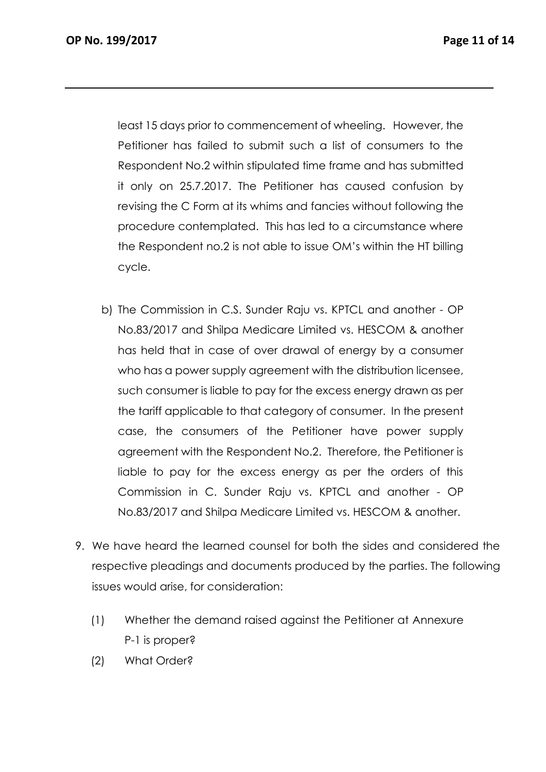least 15 days prior to commencement of wheeling. However, the Petitioner has failed to submit such a list of consumers to the Respondent No.2 within stipulated time frame and has submitted it only on 25.7.2017. The Petitioner has caused confusion by revising the C Form at its whims and fancies without following the procedure contemplated. This has led to a circumstance where the Respondent no.2 is not able to issue OM's within the HT billing cycle.

- b) The Commission in C.S. Sunder Raju vs. KPTCL and another OP No.83/2017 and Shilpa Medicare Limited vs. HESCOM & another has held that in case of over drawal of energy by a consumer who has a power supply agreement with the distribution licensee, such consumer is liable to pay for the excess energy drawn as per the tariff applicable to that category of consumer. In the present case, the consumers of the Petitioner have power supply agreement with the Respondent No.2. Therefore, the Petitioner is liable to pay for the excess energy as per the orders of this Commission in C. Sunder Raju vs. KPTCL and another - OP No.83/2017 and Shilpa Medicare Limited vs. HESCOM & another.
- 9. We have heard the learned counsel for both the sides and considered the respective pleadings and documents produced by the parties. The following issues would arise, for consideration:
	- (1) Whether the demand raised against the Petitioner at Annexure P-1 is proper?
	- (2) What Order?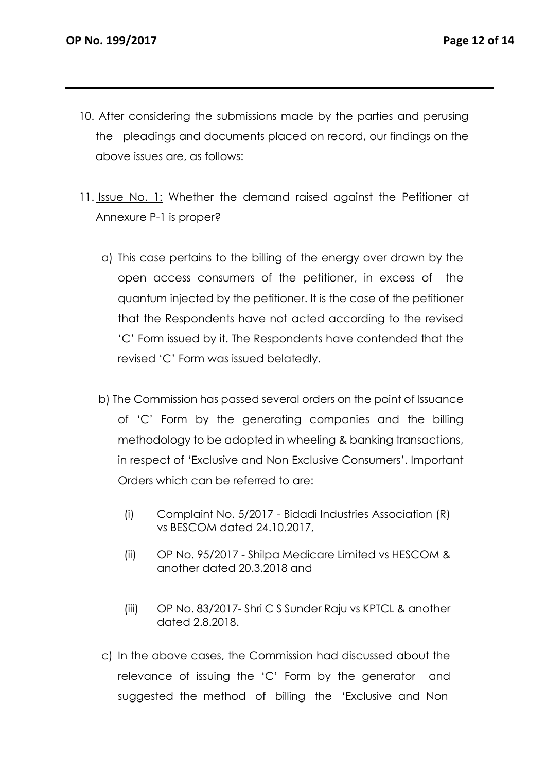- 10. After considering the submissions made by the parties and perusing the pleadings and documents placed on record, our findings on the above issues are, as follows:
- 11. Issue No. 1: Whether the demand raised against the Petitioner at Annexure P-1 is proper?
	- a) This case pertains to the billing of the energy over drawn by the open access consumers of the petitioner, in excess of the quantum injected by the petitioner. It is the case of the petitioner that the Respondents have not acted according to the revised 'C' Form issued by it. The Respondents have contended that the revised 'C' Form was issued belatedly.
	- b) The Commission has passed several orders on the point of Issuance of 'C' Form by the generating companies and the billing methodology to be adopted in wheeling & banking transactions, in respect of 'Exclusive and Non Exclusive Consumers'. Important Orders which can be referred to are:
		- (i) Complaint No. 5/2017 Bidadi Industries Association (R) vs BESCOM dated 24.10.2017,
		- (ii) OP No. 95/2017 Shilpa Medicare Limited vs HESCOM & another dated 20.3.2018 and
		- (iii) OP No. 83/2017- Shri C S Sunder Raju vs KPTCL & another dated 2.8.2018.
	- c) In the above cases, the Commission had discussed about the relevance of issuing the 'C' Form by the generator and suggested the method of billing the 'Exclusive and Non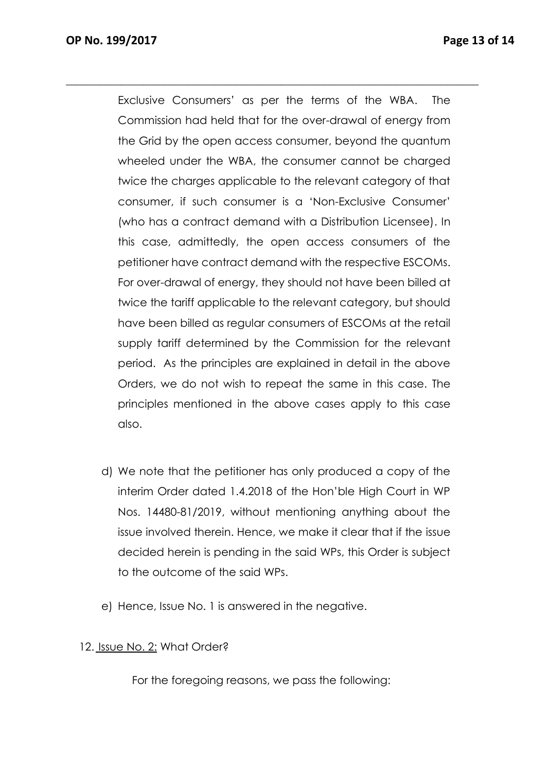Exclusive Consumers' as per the terms of the WBA. The Commission had held that for the over-drawal of energy from the Grid by the open access consumer, beyond the quantum wheeled under the WBA, the consumer cannot be charged twice the charges applicable to the relevant category of that consumer, if such consumer is a 'Non-Exclusive Consumer' (who has a contract demand with a Distribution Licensee). In this case, admittedly, the open access consumers of the petitioner have contract demand with the respective ESCOMs. For over-drawal of energy, they should not have been billed at twice the tariff applicable to the relevant category, but should have been billed as regular consumers of ESCOMs at the retail supply tariff determined by the Commission for the relevant period. As the principles are explained in detail in the above Orders, we do not wish to repeat the same in this case. The principles mentioned in the above cases apply to this case also.

 $\_$  , and the set of the set of the set of the set of the set of the set of the set of the set of the set of the set of the set of the set of the set of the set of the set of the set of the set of the set of the set of th

- d) We note that the petitioner has only produced a copy of the interim Order dated 1.4.2018 of the Hon'ble High Court in WP Nos. 14480-81/2019, without mentioning anything about the issue involved therein. Hence, we make it clear that if the issue decided herein is pending in the said WPs, this Order is subject to the outcome of the said WPs.
- e) Hence, Issue No. 1 is answered in the negative.
- 12. Issue No. 2: What Order?

For the foregoing reasons, we pass the following: